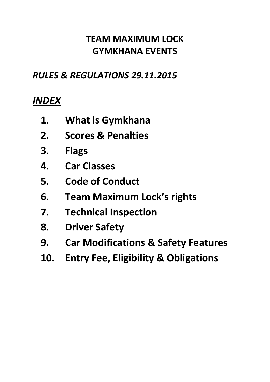# **TEAM MAXIMUM LOCK GYMKHANA EVENTS**

### *RULES & REGULATIONS 29.11.2015*

# *INDEX*

- **1. What is Gymkhana**
- **2. Scores & Penalties**
- **3. Flags**
- **4. Car Classes**
- **5. Code of Conduct**
- **6. Team Maximum Lock's rights**
- **7. Technical Inspection**
- **8. Driver Safety**
- **9. Car Modifications & Safety Features**
- **10. Entry Fee, Eligibility & Obligations**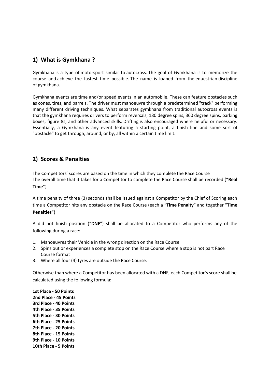#### **1) What is Gymkhana ?**

Gymkhana is a type of motorsport similar to autocross. The goal of Gymkhana is to memorize the course and achieve the fastest time possible. The name is loaned from the equestrian discipline of gymkhana.

Gymkhana events are time and/or speed events in an automobile. These can feature obstacles such as cones, tires, and barrels. The driver must manoeuvre through a predetermined "track" performing many different driving techniques. What separates gymkhana from traditional autocross events is that the gymkhana requires drivers to perform reversals, 180 degree spins, 360 degree spins, parking boxes, figure 8s, and other advanced skills. Drifting is also encouraged where helpful or necessary. Essentially, a Gymkhana is any event featuring a starting point, a finish line and some sort of "obstacle" to get through, around, or by, all within a certain time limit.

#### **2) Scores & Penalties**

The Competitors' scores are based on the time in which they complete the Race Course The overall time that it takes for a Competitor to complete the Race Course shall be recorded ("**Real Time**")

A time penalty of three (3) seconds shall be issued against a Competitor by the Chief of Scoring each time a Competitor hits any obstacle on the Race Course (each a "**Time Penalty**" and together "**Time Penalties**")

A did not finish position ("**DNF**") shall be allocated to a Competitor who performs any of the following during a race:

- 1. Manoeuvres their Vehicle in the wrong direction on the Race Course
- 2. Spins out or experiences a complete stop on the Race Course where a stop is not part Race Course format
- 3. Where all four (4) tyres are outside the Race Course.

Otherwise than where a Competitor has been allocated with a DNF, each Competitor's score shall be calculated using the following formula:

**1st Place - 50 Points 2nd Place - 45 Points 3rd Place - 40 Points 4th Place - 35 Points 5th Place - 30 Points 6th Place - 25 Points 7th Place - 20 Points 8th Place - 15 Points 9th Place - 10 Points 10th Place - 5 Points**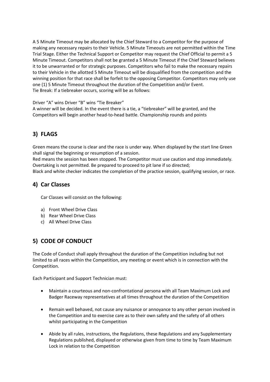A 5 Minute Timeout may be allocated by the Chief Steward to a Competitor for the purpose of making any necessary repairs to their Vehicle. 5 Minute Timeouts are not permitted within the Time Trial Stage. Either the Technical Support or Competitor may request the Chief Official to permit a 5 Minute Timeout. Competitors shall not be granted a 5 Minute Timeout if the Chief Steward believes it to be unwarranted or for strategic purposes. Competitors who fail to make the necessary repairs to their Vehicle in the allotted 5 Minute Timeout will be disqualified from the competition and the winning position for that race shall be forfeit to the opposing Competitor. Competitors may only use one (1) 5 Minute Timeout throughout the duration of the Competition and/or Event. Tie Break: If a tiebreaker occurs, scoring will be as follows:

Driver "A" wins Driver "B" wins "Tie Breaker"

A winner will be decided. In the event there is a tie, a "tiebreaker" will be granted, and the Competitors will begin another head-to-head battle. Championship rounds and points

### **3) FLAGS**

Green means the course is clear and the race is under way. When displayed by the start line Green shall signal the beginning or resumption of a session.

Red means the session has been stopped. The Competitor must use caution and stop immediately. Overtaking is not permitted. Be prepared to proceed to pit lane if so directed;

Black and white checker indicates the completion of the practice session, qualifying session, or race.

#### **4) Car Classes**

Car Classes will consist on the following:

- a) Front Wheel Drive Class
- b) Rear Wheel Drive Class
- c) All Wheel Drive Class

#### **5) CODE OF CONDUCT**

The Code of Conduct shall apply throughout the duration of the Competition including but not limited to all races within the Competition, any meeting or event which is in connection with the Competition.

Each Participant and Support Technician must:

- Maintain a courteous and non-confrontational persona with all Team Maximum Lock and Badger Raceway representatives at all times throughout the duration of the Competition
- Remain well behaved, not cause any nuisance or annoyance to any other person involved in the Competition and to exercise care as to their own safety and the safety of all others whilst participating in the Competition
- Abide by all rules, instructions, the Regulations, these Regulations and any Supplementary Regulations published, displayed or otherwise given from time to time by Team Maximum Lock in relation to the Competition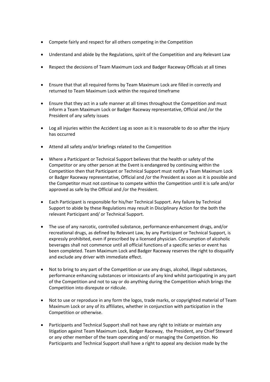- Compete fairly and respect for all others competing in the Competition
- Understand and abide by the Regulations, spirit of the Competition and any Relevant Law
- Respect the decisions of Team Maximum Lock and Badger Raceway Officials at all times
- Ensure that that all required forms by Team Maximum Lock are filled in correctly and returned to Team Maximum Lock within the required timeframe
- Ensure that they act in a safe manner at all times throughout the Competition and must inform a Team Maximum Lock or Badger Raceway representative, Official and /or the President of any safety issues
- Log all injuries within the Accident Log as soon as it is reasonable to do so after the injury has occurred
- Attend all safety and/or briefings related to the Competition
- Where a Participant or Technical Support believes that the health or safety of the Competitor or any other person at the Event is endangered by continuing within the Competition then that Participant or Technical Support must notify a Team Maximum Lock or Badger Raceway representative, Official and /or the President as soon as it is possible and the Competitor must not continue to compete within the Competition until it is safe and/or approved as safe by the Official and /or the President.
- Each Participant is responsible for his/her Technical Support. Any failure by Technical Support to abide by these Regulations may result in Disciplinary Action for the both the relevant Participant and/ or Technical Support.
- The use of any narcotic, controlled substance, performance-enhancement drugs, and/or recreational drugs, as defined by Relevant Law, by any Participant or Technical Support, is expressly prohibited, even if prescribed by a licensed physician. Consumption of alcoholic beverages shall not commence until all official functions of a specific series or event has been completed. Team Maximum Lock and Badger Raceway reserves the right to disqualify and exclude any driver with immediate effect.
- Not to bring to any part of the Competition or use any drugs, alcohol, illegal substances, performance enhancing substances or intoxicants of any kind whilst participating in any part of the Competition and not to say or do anything during the Competition which brings the Competition into disrepute or ridicule.
- Not to use or reproduce in any form the logos, trade marks, or copyrighted material of Team Maximum Lock or any of its affiliates, whether in conjunction with participation in the Competition or otherwise.
- Participants and Technical Support shall not have any right to initiate or maintain any litigation against Team Maximum Lock, Badger Raceway, the President, any Chief Steward or any other member of the team operating and/ or managing the Competition. No Participants and Technical Support shall have a right to appeal any decision made by the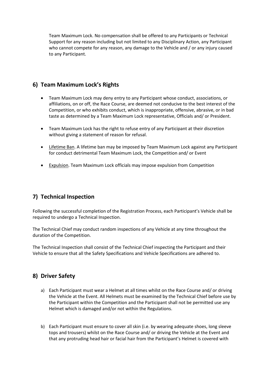Team Maximum Lock. No compensation shall be offered to any Participants or Technical Support for any reason including but not limited to any Disciplinary Action, any Participant who cannot compete for any reason, any damage to the Vehicle and / or any injury caused to any Participant.

#### **6) Team Maximum Lock's Rights**

- Team Maximum Lock may deny entry to any Participant whose conduct, associations, or affiliations, on or off, the Race Course, are deemed not conducive to the best interest of the Competition, or who exhibits conduct, which is inappropriate, offensive, abrasive, or in bad taste as determined by a Team Maximum Lock representative, Officials and/ or President.
- Team Maximum Lock has the right to refuse entry of any Participant at their discretion without giving a statement of reason for refusal.
- Lifetime Ban. A lifetime ban may be imposed by Team Maximum Lock against any Participant for conduct detrimental Team Maximum Lock, the Competition and/ or Event
- **•** Expulsion. Team Maximum Lock officials may impose expulsion from Competition

#### **7) Technical Inspection**

Following the successful completion of the Registration Process, each Participant's Vehicle shall be required to undergo a Technical Inspection.

The Technical Chief may conduct random inspections of any Vehicle at any time throughout the duration of the Competition.

The Technical Inspection shall consist of the Technical Chief inspecting the Participant and their Vehicle to ensure that all the Safety Specifications and Vehicle Specifications are adhered to.

#### **8) Driver Safety**

- a) Each Participant must wear a Helmet at all times whilst on the Race Course and/ or driving the Vehicle at the Event. All Helmets must be examined by the Technical Chief before use by the Participant within the Competition and the Participant shall not be permitted use any Helmet which is damaged and/or not within the Regulations.
- b) Each Participant must ensure to cover all skin (i.e. by wearing adequate shoes, long sleeve tops and trousers) whilst on the Race Course and/ or driving the Vehicle at the Event and that any protruding head hair or facial hair from the Participant's Helmet is covered with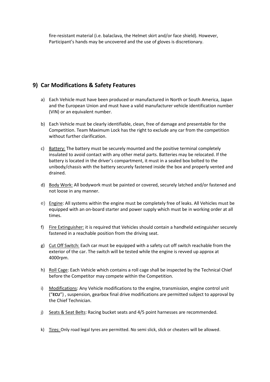fire-resistant material (i.e. balaclava, the Helmet skirt and/or face shield). However, Participant's hands may be uncovered and the use of gloves is discretionary.

#### **9) Car Modifications & Safety Features**

- a) Each Vehicle must have been produced or manufactured in North or South America, Japan and the European Union and must have a valid manufacturer vehicle identification number (VIN) or an equivalent number.
- b) Each Vehicle must be clearly identifiable, clean, free of damage and presentable for the Competition. Team Maximum Lock has the right to exclude any car from the competition without further clarification.
- c) Battery: The battery must be securely mounted and the positive terminal completely insulated to avoid contact with any other metal parts. Batteries may be relocated. If the battery is located in the driver's compartment, it must in a sealed box bolted to the unibody/chassis with the battery securely fastened inside the box and properly vented and drained.
- d) Body Work: All bodywork must be painted or covered, securely latched and/or fastened and not loose in any manner.
- e) Engine: All systems within the engine must be completely free of leaks. All Vehicles must be equipped with an on-board starter and power supply which must be in working order at all times.
- f) Fire Extinguisher: it is required that Vehicles should contain a handheld extinguisher securely fastened in a reachable position from the driving seat.
- g) Cut Off Switch: Each car must be equipped with a safety cut off switch reachable from the exterior of the car. The switch will be tested while the engine is revved up approx at 4000rpm.
- h) Roll Cage: Each Vehicle which contains a roll cage shall be inspected by the Technical Chief before the Competitor may compete within the Competition.
- i) Modifications: Any Vehicle modifications to the engine, transmission, engine control unit ("**ECU**") , suspension, gearbox final drive modifications are permitted subject to approval by the Chief Technician.
- j) Seats & Seat Belts: Racing bucket seats and 4/5 point harnesses are recommended.
- k) Tires: Only road legal tyres are permitted. No semi slick, slick or cheaters will be allowed.